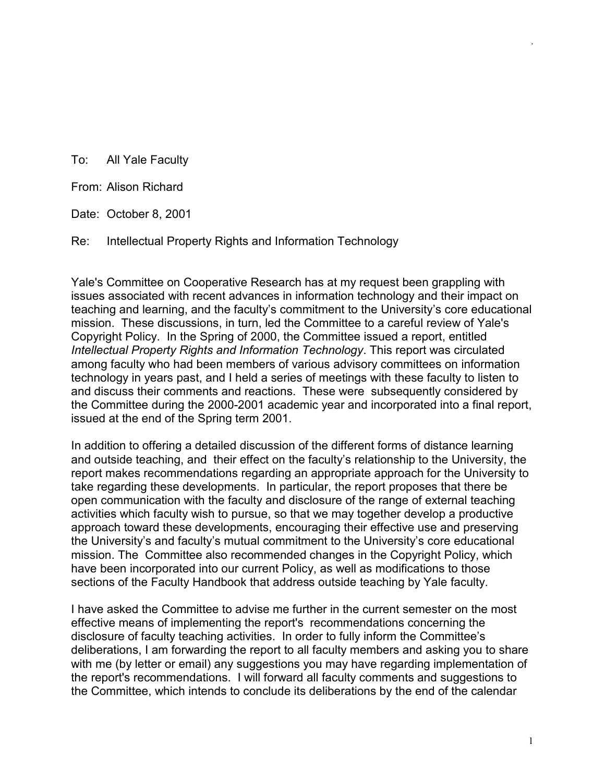To: All Yale Faculty

From: Alison Richard

Date: October 8, 2001

Re: Intellectual Property Rights and Information Technology

Yale's Committee on Cooperative Research has at my request been grappling with issues associated with recent advances in information technology and their impact on teaching and learning, and the faculty's commitment to the University's core educational mission. These discussions, in turn, led the Committee to a careful review of Yale's Copyright Policy. In the Spring of 2000, the Committee issued a report, entitled *Intellectual Property Rights and Information Technology*. This report was circulated among faculty who had been members of various advisory committees on information technology in years past, and I held a series of meetings with these faculty to listen to and discuss their comments and reactions. These were subsequently considered by the Committee during the 2000-2001 academic year and incorporated into a final report, issued at the end of the Spring term 2001.

In addition to offering a detailed discussion of the different forms of distance learning and outside teaching, and their effect on the faculty's relationship to the University, the report makes recommendations regarding an appropriate approach for the University to take regarding these developments. In particular, the report proposes that there be open communication with the faculty and disclosure of the range of external teaching activities which faculty wish to pursue, so that we may together develop a productive approach toward these developments, encouraging their effective use and preserving the University's and faculty's mutual commitment to the University's core educational mission. The Committee also recommended changes in the Copyright Policy, which have been incorporated into our current Policy, as well as modifications to those sections of the Faculty Handbook that address outside teaching by Yale faculty.

I have asked the Committee to advise me further in the current semester on the most effective means of implementing the report's recommendations concerning the disclosure of faculty teaching activities. In order to fully inform the Committee's deliberations, I am forwarding the report to all faculty members and asking you to share with me (by letter or email) any suggestions you may have regarding implementation of the report's recommendations. I will forward all faculty comments and suggestions to the Committee, which intends to conclude its deliberations by the end of the calendar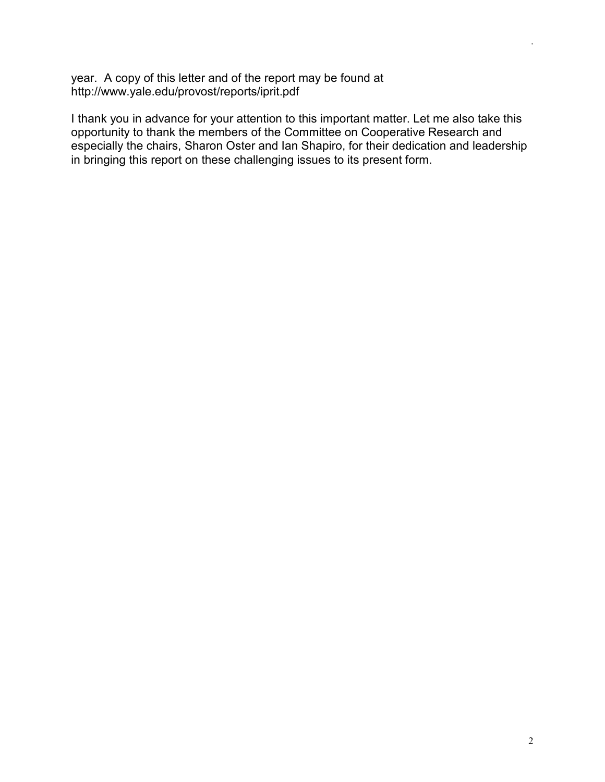year. A copy of this letter and of the report may be found at http://www.yale.edu/provost/reports/iprit.pdf

I thank you in advance for your attention to this important matter. Let me also take this opportunity to thank the members of the Committee on Cooperative Research and especially the chairs, Sharon Oster and Ian Shapiro, for their dedication and leadership in bringing this report on these challenging issues to its present form.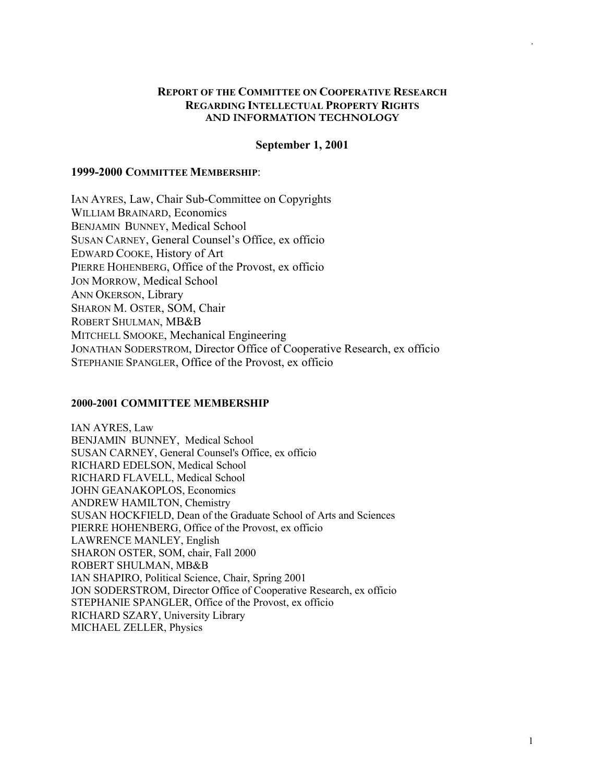## **REPORT OF THE COMMITTEE ON COOPERATIVE RESEARCH REGARDING INTELLECTUAL PROPERTY RIGHTS AND INFORMATION TECHNOLOGY**

### **September 1, 2001**

## **1999-2000 COMMITTEE MEMBERSHIP**:

IAN AYRES, Law, Chair Sub-Committee on Copyrights WILLIAM BRAINARD, Economics BENJAMIN BUNNEY, Medical School SUSAN CARNEY, General Counsel's Office, ex officio EDWARD COOKE, History of Art PIERRE HOHENBERG, Office of the Provost, ex officio JON MORROW, Medical School ANN OKERSON, Library SHARON M. OSTER, SOM, Chair ROBERT SHULMAN, MB&B MITCHELL SMOOKE, Mechanical Engineering JONATHAN SODERSTROM, Director Office of Cooperative Research, ex officio STEPHANIE SPANGLER, Office of the Provost, ex officio

#### **2000-2001 COMMITTEE MEMBERSHIP**

IAN AYRES, Law BENJAMIN BUNNEY, Medical School SUSAN CARNEY, General Counsel's Office, ex officio RICHARD EDELSON, Medical School RICHARD FLAVELL, Medical School JOHN GEANAKOPLOS, Economics ANDREW HAMILTON, Chemistry SUSAN HOCKFIELD, Dean of the Graduate School of Arts and Sciences PIERRE HOHENBERG, Office of the Provost, ex officio LAWRENCE MANLEY, English SHARON OSTER, SOM, chair, Fall 2000 ROBERT SHULMAN, MB&B IAN SHAPIRO, Political Science, Chair, Spring 2001 JON SODERSTROM, Director Office of Cooperative Research, ex officio STEPHANIE SPANGLER, Office of the Provost, ex officio RICHARD SZARY, University Library MICHAEL ZELLER, Physics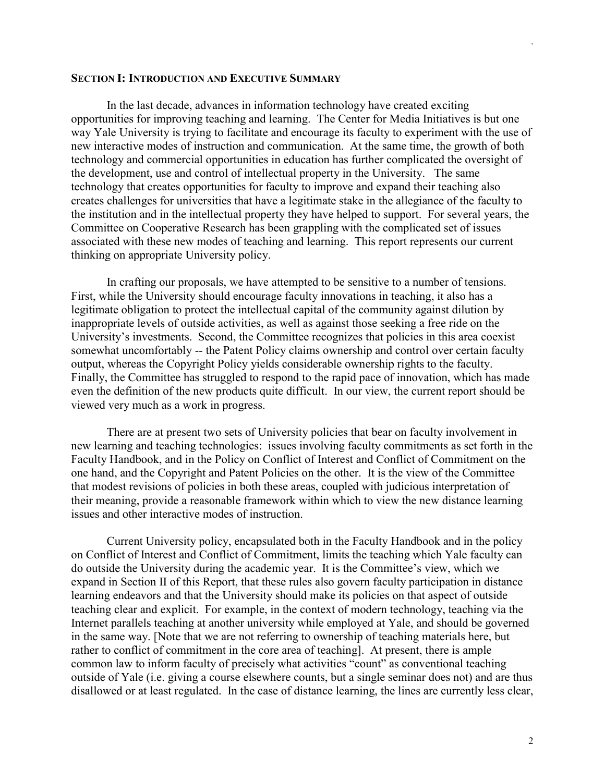#### **SECTION I: INTRODUCTION AND EXECUTIVE SUMMARY**

 In the last decade, advances in information technology have created exciting opportunities for improving teaching and learning. The Center for Media Initiatives is but one way Yale University is trying to facilitate and encourage its faculty to experiment with the use of new interactive modes of instruction and communication. At the same time, the growth of both technology and commercial opportunities in education has further complicated the oversight of the development, use and control of intellectual property in the University. The same technology that creates opportunities for faculty to improve and expand their teaching also creates challenges for universities that have a legitimate stake in the allegiance of the faculty to the institution and in the intellectual property they have helped to support. For several years, the Committee on Cooperative Research has been grappling with the complicated set of issues associated with these new modes of teaching and learning. This report represents our current thinking on appropriate University policy.

 In crafting our proposals, we have attempted to be sensitive to a number of tensions. First, while the University should encourage faculty innovations in teaching, it also has a legitimate obligation to protect the intellectual capital of the community against dilution by inappropriate levels of outside activities, as well as against those seeking a free ride on the University's investments. Second, the Committee recognizes that policies in this area coexist somewhat uncomfortably -- the Patent Policy claims ownership and control over certain faculty output, whereas the Copyright Policy yields considerable ownership rights to the faculty. Finally, the Committee has struggled to respond to the rapid pace of innovation, which has made even the definition of the new products quite difficult. In our view, the current report should be viewed very much as a work in progress.

There are at present two sets of University policies that bear on faculty involvement in new learning and teaching technologies: issues involving faculty commitments as set forth in the Faculty Handbook, and in the Policy on Conflict of Interest and Conflict of Commitment on the one hand, and the Copyright and Patent Policies on the other. It is the view of the Committee that modest revisions of policies in both these areas, coupled with judicious interpretation of their meaning, provide a reasonable framework within which to view the new distance learning issues and other interactive modes of instruction.

Current University policy, encapsulated both in the Faculty Handbook and in the policy on Conflict of Interest and Conflict of Commitment, limits the teaching which Yale faculty can do outside the University during the academic year. It is the Committee's view, which we expand in Section II of this Report, that these rules also govern faculty participation in distance learning endeavors and that the University should make its policies on that aspect of outside teaching clear and explicit. For example, in the context of modern technology, teaching via the Internet parallels teaching at another university while employed at Yale, and should be governed in the same way. [Note that we are not referring to ownership of teaching materials here, but rather to conflict of commitment in the core area of teaching]. At present, there is ample common law to inform faculty of precisely what activities "count" as conventional teaching outside of Yale (i.e. giving a course elsewhere counts, but a single seminar does not) and are thus disallowed or at least regulated. In the case of distance learning, the lines are currently less clear,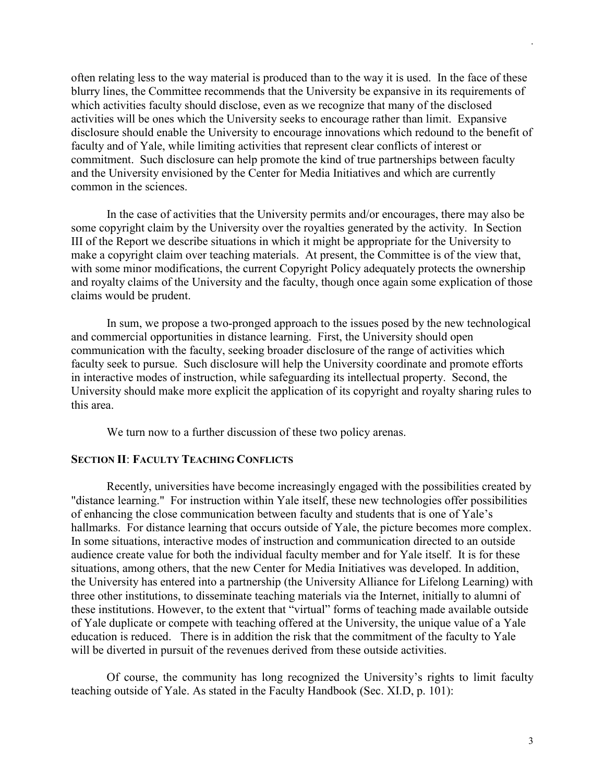often relating less to the way material is produced than to the way it is used. In the face of these blurry lines, the Committee recommends that the University be expansive in its requirements of which activities faculty should disclose, even as we recognize that many of the disclosed activities will be ones which the University seeks to encourage rather than limit. Expansive disclosure should enable the University to encourage innovations which redound to the benefit of faculty and of Yale, while limiting activities that represent clear conflicts of interest or commitment. Such disclosure can help promote the kind of true partnerships between faculty and the University envisioned by the Center for Media Initiatives and which are currently common in the sciences.

In the case of activities that the University permits and/or encourages, there may also be some copyright claim by the University over the royalties generated by the activity. In Section III of the Report we describe situations in which it might be appropriate for the University to make a copyright claim over teaching materials. At present, the Committee is of the view that, with some minor modifications, the current Copyright Policy adequately protects the ownership and royalty claims of the University and the faculty, though once again some explication of those claims would be prudent.

In sum, we propose a two-pronged approach to the issues posed by the new technological and commercial opportunities in distance learning. First, the University should open communication with the faculty, seeking broader disclosure of the range of activities which faculty seek to pursue. Such disclosure will help the University coordinate and promote efforts in interactive modes of instruction, while safeguarding its intellectual property. Second, the University should make more explicit the application of its copyright and royalty sharing rules to this area.

We turn now to a further discussion of these two policy arenas.

#### **SECTION II**: **FACULTY TEACHING CONFLICTS**

Recently, universities have become increasingly engaged with the possibilities created by "distance learning." For instruction within Yale itself, these new technologies offer possibilities of enhancing the close communication between faculty and students that is one of Yale's hallmarks. For distance learning that occurs outside of Yale, the picture becomes more complex. In some situations, interactive modes of instruction and communication directed to an outside audience create value for both the individual faculty member and for Yale itself. It is for these situations, among others, that the new Center for Media Initiatives was developed. In addition, the University has entered into a partnership (the University Alliance for Lifelong Learning) with three other institutions, to disseminate teaching materials via the Internet, initially to alumni of these institutions. However, to the extent that "virtual" forms of teaching made available outside of Yale duplicate or compete with teaching offered at the University, the unique value of a Yale education is reduced. There is in addition the risk that the commitment of the faculty to Yale will be diverted in pursuit of the revenues derived from these outside activities.

Of course, the community has long recognized the University's rights to limit faculty teaching outside of Yale. As stated in the Faculty Handbook (Sec. XI.D, p. 101):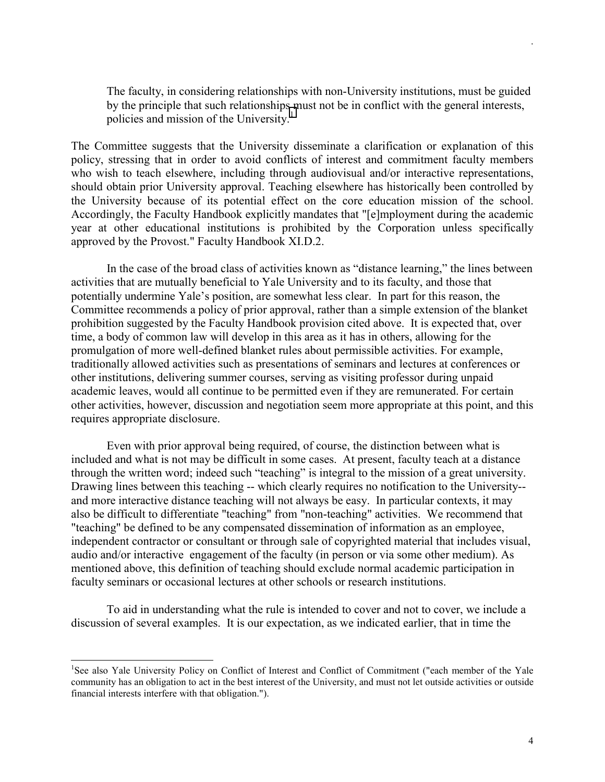The faculty, in considering relationships with non-University institutions, must be guided by the principle that such relationships must not be in conflict with the general interests, policies and mission of the University.<sup>1</sup>

The Committee suggests that the University disseminate a clarification or explanation of this policy, stressing that in order to avoid conflicts of interest and commitment faculty members who wish to teach elsewhere, including through audiovisual and/or interactive representations, should obtain prior University approval. Teaching elsewhere has historically been controlled by the University because of its potential effect on the core education mission of the school. Accordingly, the Faculty Handbook explicitly mandates that "[e]mployment during the academic year at other educational institutions is prohibited by the Corporation unless specifically approved by the Provost." Faculty Handbook XI.D.2.

In the case of the broad class of activities known as "distance learning," the lines between activities that are mutually beneficial to Yale University and to its faculty, and those that potentially undermine Yale's position, are somewhat less clear. In part for this reason, the Committee recommends a policy of prior approval, rather than a simple extension of the blanket prohibition suggested by the Faculty Handbook provision cited above. It is expected that, over time, a body of common law will develop in this area as it has in others, allowing for the promulgation of more well-defined blanket rules about permissible activities. For example, traditionally allowed activities such as presentations of seminars and lectures at conferences or other institutions, delivering summer courses, serving as visiting professor during unpaid academic leaves, would all continue to be permitted even if they are remunerated. For certain other activities, however, discussion and negotiation seem more appropriate at this point, and this requires appropriate disclosure.

Even with prior approval being required, of course, the distinction between what is included and what is not may be difficult in some cases. At present, faculty teach at a distance through the written word; indeed such "teaching" is integral to the mission of a great university. Drawing lines between this teaching -- which clearly requires no notification to the University- and more interactive distance teaching will not always be easy. In particular contexts, it may also be difficult to differentiate "teaching" from "non-teaching" activities. We recommend that "teaching" be defined to be any compensated dissemination of information as an employee, independent contractor or consultant or through sale of copyrighted material that includes visual, audio and/or interactive engagement of the faculty (in person or via some other medium). As mentioned above, this definition of teaching should exclude normal academic participation in faculty seminars or occasional lectures at other schools or research institutions.

To aid in understanding what the rule is intended to cover and not to cover, we include a discussion of several examples. It is our expectation, as we indicated earlier, that in time the

 $\overline{a}$ 

<sup>&</sup>lt;sup>1</sup>See also Yale University Policy on Conflict of Interest and Conflict of Commitment ("each member of the Yale community has an obligation to act in the best interest of the University, and must not let outside activities or outside financial interests interfere with that obligation.").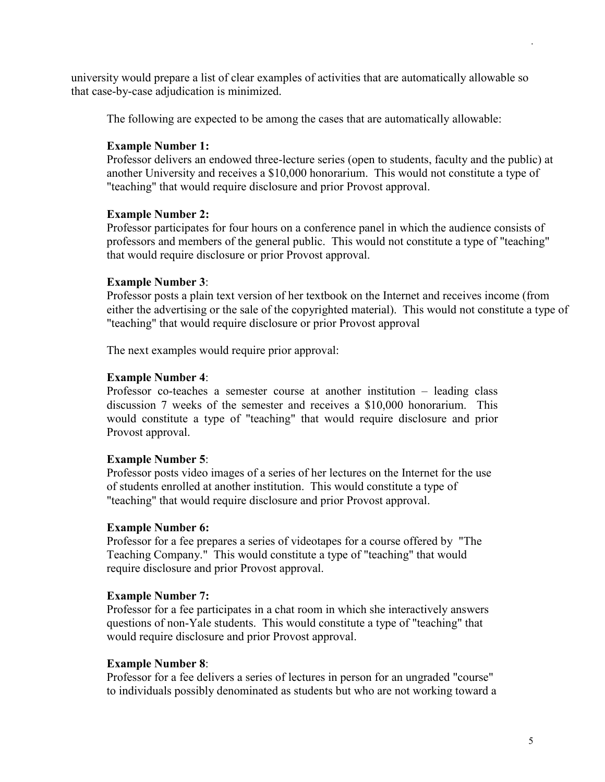university would prepare a list of clear examples of activities that are automatically allowable so that case-by-case adjudication is minimized.

The following are expected to be among the cases that are automatically allowable:

# **Example Number 1:**

Professor delivers an endowed three-lecture series (open to students, faculty and the public) at another University and receives a \$10,000 honorarium. This would not constitute a type of "teaching" that would require disclosure and prior Provost approval.

## **Example Number 2:**

Professor participates for four hours on a conference panel in which the audience consists of professors and members of the general public. This would not constitute a type of "teaching" that would require disclosure or prior Provost approval.

# **Example Number 3**:

Professor posts a plain text version of her textbook on the Internet and receives income (from either the advertising or the sale of the copyrighted material). This would not constitute a type of "teaching" that would require disclosure or prior Provost approval

The next examples would require prior approval:

# **Example Number 4**:

Professor co-teaches a semester course at another institution – leading class discussion 7 weeks of the semester and receives a \$10,000 honorarium. This would constitute a type of "teaching" that would require disclosure and prior Provost approval.

## **Example Number 5**:

Professor posts video images of a series of her lectures on the Internet for the use of students enrolled at another institution. This would constitute a type of "teaching" that would require disclosure and prior Provost approval.

## **Example Number 6:**

Professor for a fee prepares a series of videotapes for a course offered by "The Teaching Company." This would constitute a type of "teaching" that would require disclosure and prior Provost approval.

## **Example Number 7:**

Professor for a fee participates in a chat room in which she interactively answers questions of non-Yale students. This would constitute a type of "teaching" that would require disclosure and prior Provost approval.

# **Example Number 8**:

Professor for a fee delivers a series of lectures in person for an ungraded "course" to individuals possibly denominated as students but who are not working toward a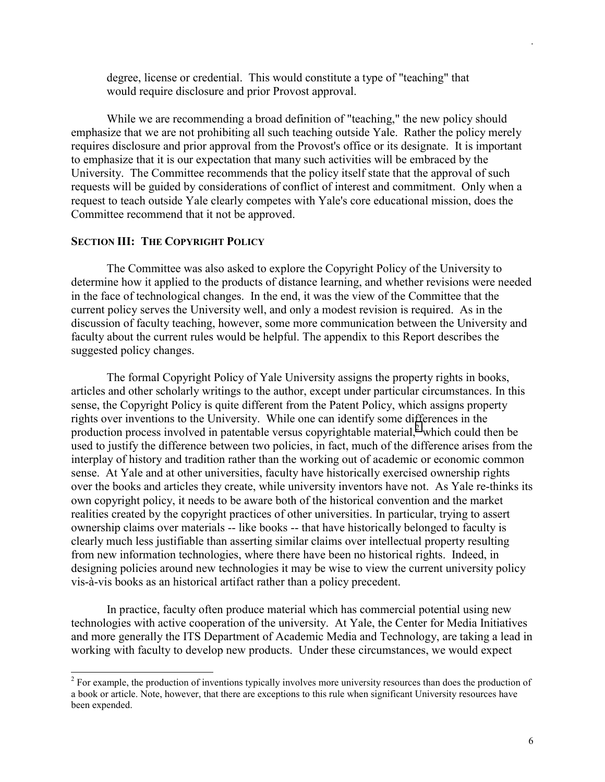degree, license or credential. This would constitute a type of "teaching" that would require disclosure and prior Provost approval.

While we are recommending a broad definition of "teaching," the new policy should emphasize that we are not prohibiting all such teaching outside Yale. Rather the policy merely requires disclosure and prior approval from the Provost's office or its designate. It is important to emphasize that it is our expectation that many such activities will be embraced by the University. The Committee recommends that the policy itself state that the approval of such requests will be guided by considerations of conflict of interest and commitment. Only when a request to teach outside Yale clearly competes with Yale's core educational mission, does the Committee recommend that it not be approved.

#### **SECTION III: THE COPYRIGHT POLICY**

 $\overline{a}$ 

 The Committee was also asked to explore the Copyright Policy of the University to determine how it applied to the products of distance learning, and whether revisions were needed in the face of technological changes. In the end, it was the view of the Committee that the current policy serves the University well, and only a modest revision is required. As in the discussion of faculty teaching, however, some more communication between the University and faculty about the current rules would be helpful. The appendix to this Report describes the suggested policy changes.

The formal Copyright Policy of Yale University assigns the property rights in books, articles and other scholarly writings to the author, except under particular circumstances. In this sense, the Copyright Policy is quite different from the Patent Policy, which assigns property rights over inventions to the University. While one can identify some differences in the production process involved in patentable versus copyrightable material, $<sup>2</sup>$  which could then be</sup> used to justify the difference between two policies, in fact, much of the difference arises from the interplay of history and tradition rather than the working out of academic or economic common sense. At Yale and at other universities, faculty have historically exercised ownership rights over the books and articles they create, while university inventors have not. As Yale re-thinks its own copyright policy, it needs to be aware both of the historical convention and the market realities created by the copyright practices of other universities. In particular, trying to assert ownership claims over materials -- like books -- that have historically belonged to faculty is clearly much less justifiable than asserting similar claims over intellectual property resulting from new information technologies, where there have been no historical rights. Indeed, in designing policies around new technologies it may be wise to view the current university policy vis-à-vis books as an historical artifact rather than a policy precedent.

In practice, faculty often produce material which has commercial potential using new technologies with active cooperation of the university. At Yale, the Center for Media Initiatives and more generally the ITS Department of Academic Media and Technology, are taking a lead in working with faculty to develop new products. Under these circumstances, we would expect

 $2^{2}$  For example, the production of inventions typically involves more university resources than does the production of a book or article. Note, however, that there are exceptions to this rule when significant University resources have been expended.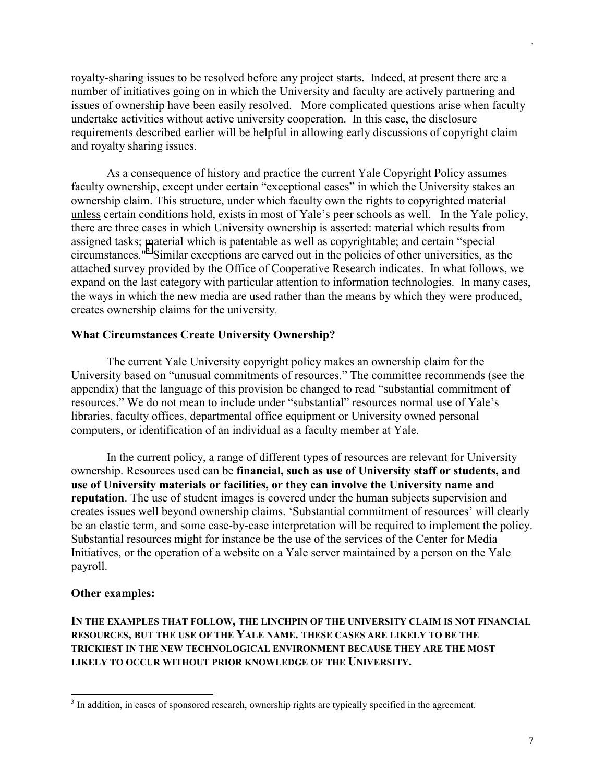royalty-sharing issues to be resolved before any project starts. Indeed, at present there are a number of initiatives going on in which the University and faculty are actively partnering and issues of ownership have been easily resolved. More complicated questions arise when faculty undertake activities without active university cooperation. In this case, the disclosure requirements described earlier will be helpful in allowing early discussions of copyright claim and royalty sharing issues.

As a consequence of history and practice the current Yale Copyright Policy assumes faculty ownership, except under certain "exceptional cases" in which the University stakes an ownership claim. This structure, under which faculty own the rights to copyrighted material unless certain conditions hold, exists in most of Yale's peer schools as well. In the Yale policy, there are three cases in which University ownership is asserted: material which results from assigned tasks; material which is patentable as well as copyrightable; and certain "special circumstances."<sup>3</sup> Similar exceptions are carved out in the policies of other universities, as the attached survey provided by the Office of Cooperative Research indicates. In what follows, we expand on the last category with particular attention to information technologies. In many cases, the ways in which the new media are used rather than the means by which they were produced, creates ownership claims for the university.

#### **What Circumstances Create University Ownership?**

The current Yale University copyright policy makes an ownership claim for the University based on "unusual commitments of resources." The committee recommends (see the appendix) that the language of this provision be changed to read "substantial commitment of resources." We do not mean to include under "substantial" resources normal use of Yale's libraries, faculty offices, departmental office equipment or University owned personal computers, or identification of an individual as a faculty member at Yale.

In the current policy, a range of different types of resources are relevant for University ownership. Resources used can be **financial, such as use of University staff or students, and use of University materials or facilities, or they can involve the University name and reputation**. The use of student images is covered under the human subjects supervision and creates issues well beyond ownership claims. 'Substantial commitment of resources' will clearly be an elastic term, and some case-by-case interpretation will be required to implement the policy. Substantial resources might for instance be the use of the services of the Center for Media Initiatives, or the operation of a website on a Yale server maintained by a person on the Yale payroll.

#### **Other examples:**

 $\overline{a}$ 

**IN THE EXAMPLES THAT FOLLOW, THE LINCHPIN OF THE UNIVERSITY CLAIM IS NOT FINANCIAL RESOURCES, BUT THE USE OF THE YALE NAME. THESE CASES ARE LIKELY TO BE THE TRICKIEST IN THE NEW TECHNOLOGICAL ENVIRONMENT BECAUSE THEY ARE THE MOST LIKELY TO OCCUR WITHOUT PRIOR KNOWLEDGE OF THE UNIVERSITY.** 

 $3$  In addition, in cases of sponsored research, ownership rights are typically specified in the agreement.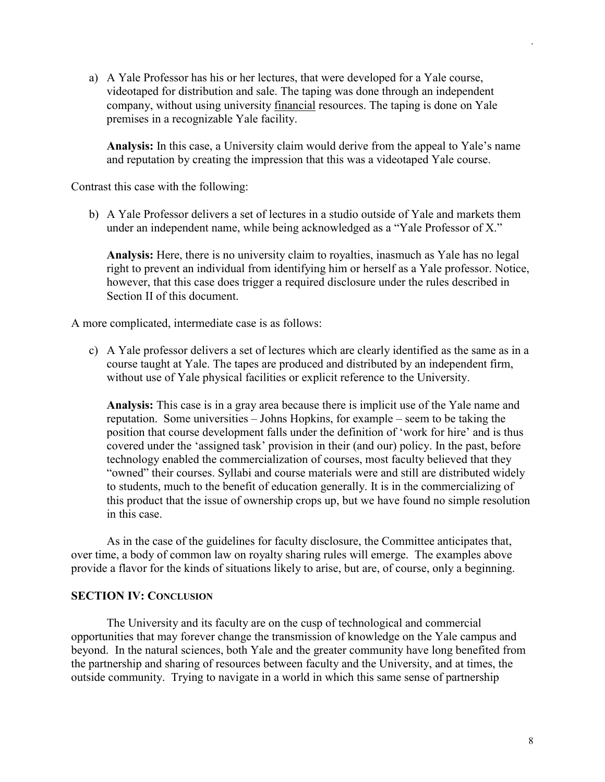a) A Yale Professor has his or her lectures, that were developed for a Yale course, videotaped for distribution and sale. The taping was done through an independent company, without using university financial resources. The taping is done on Yale premises in a recognizable Yale facility.

**Analysis:** In this case, a University claim would derive from the appeal to Yale's name and reputation by creating the impression that this was a videotaped Yale course.

Contrast this case with the following:

b) A Yale Professor delivers a set of lectures in a studio outside of Yale and markets them under an independent name, while being acknowledged as a "Yale Professor of X."

**Analysis:** Here, there is no university claim to royalties, inasmuch as Yale has no legal right to prevent an individual from identifying him or herself as a Yale professor. Notice, however, that this case does trigger a required disclosure under the rules described in Section II of this document.

A more complicated, intermediate case is as follows:

c) A Yale professor delivers a set of lectures which are clearly identified as the same as in a course taught at Yale. The tapes are produced and distributed by an independent firm, without use of Yale physical facilities or explicit reference to the University.

**Analysis:** This case is in a gray area because there is implicit use of the Yale name and reputation. Some universities – Johns Hopkins, for example – seem to be taking the position that course development falls under the definition of 'work for hire' and is thus covered under the 'assigned task' provision in their (and our) policy. In the past, before technology enabled the commercialization of courses, most faculty believed that they "owned" their courses. Syllabi and course materials were and still are distributed widely to students, much to the benefit of education generally. It is in the commercializing of this product that the issue of ownership crops up, but we have found no simple resolution in this case.

 As in the case of the guidelines for faculty disclosure, the Committee anticipates that, over time, a body of common law on royalty sharing rules will emerge. The examples above provide a flavor for the kinds of situations likely to arise, but are, of course, only a beginning.

#### **SECTION IV: CONCLUSION**

 The University and its faculty are on the cusp of technological and commercial opportunities that may forever change the transmission of knowledge on the Yale campus and beyond. In the natural sciences, both Yale and the greater community have long benefited from the partnership and sharing of resources between faculty and the University, and at times, the outside community. Trying to navigate in a world in which this same sense of partnership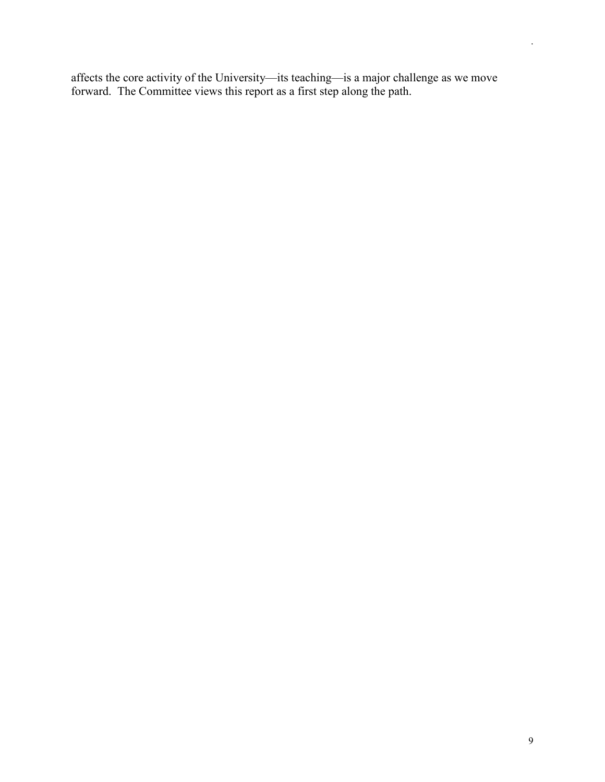affects the core activity of the University—its teaching—is a major challenge as we move forward. The Committee views this report as a first step along the path.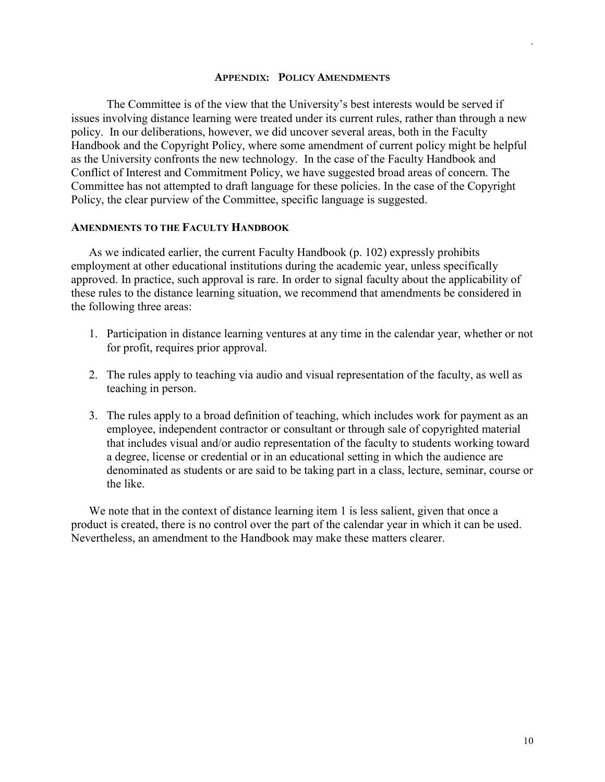#### **APPENDIX: POLICY AMENDMENTS**

The Committee is of the view that the University's best interests would be served if issues involving distance learning were treated under its current rules, rather than through a new policy. In our deliberations, however, we did uncover several areas, both in the Faculty Handbook and the Copyright Policy, where some amendment of current policy might be helpful as the University confronts the new technology. In the case of the Faculty Handbook and Conflict of Interest and Commitment Policy, we have suggested broad areas of concern. The Committee has not attempted to draft language for these policies. In the case of the Copyright Policy, the clear purview of the Committee, specific language is suggested.

#### **AMENDMENTS TO THE FACULTY HANDBOOK**

As we indicated earlier, the current Faculty Handbook (p. 102) expressly prohibits employment at other educational institutions during the academic year, unless specifically approved. In practice, such approval is rare. In order to signal faculty about the applicability of these rules to the distance learning situation, we recommend that amendments be considered in the following three areas:

- 1. Participation in distance learning ventures at any time in the calendar year, whether or not for profit, requires prior approval.
- 2. The rules apply to teaching via audio and visual representation of the faculty, as well as teaching in person.
- 3. The rules apply to a broad definition of teaching, which includes work for payment as an employee, independent contractor or consultant or through sale of copyrighted material that includes visual and/or audio representation of the faculty to students working toward a degree, license or credential or in an educational setting in which the audience are denominated as students or are said to be taking part in a class, lecture, seminar, course or the like.

We note that in the context of distance learning item 1 is less salient, given that once a product is created, there is no control over the part of the calendar year in which it can be used. Nevertheless, an amendment to the Handbook may make these matters clearer.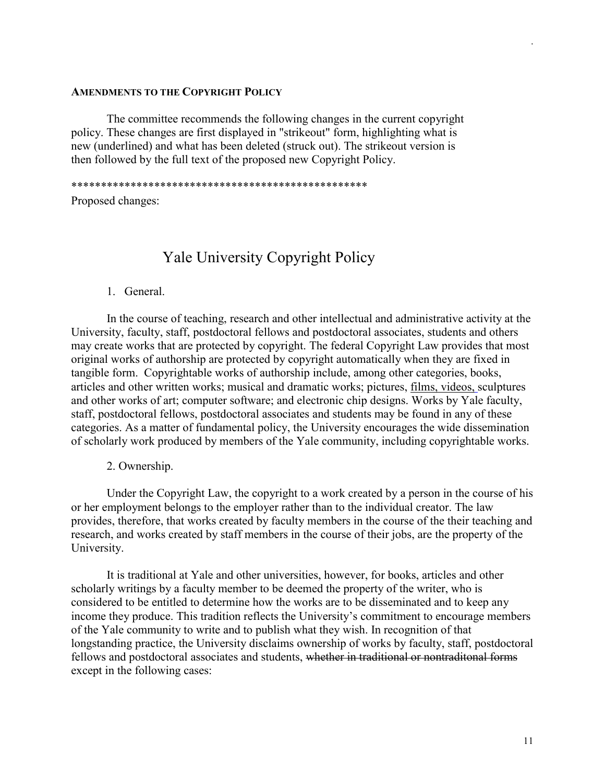#### **AMENDMENTS TO THE COPYRIGHT POLICY**

The committee recommends the following changes in the current copyright policy. These changes are first displayed in "strikeout" form, highlighting what is new (underlined) and what has been deleted (struck out). The strikeout version is then followed by the full text of the proposed new Copyright Policy.

\*\*\*\*\*\*\*\*\*\*\*\*\*\*\*\*\*\*\*\*\*\*\*\*\*\*\*\*\*\*\*\*\*\*\*\*\*\*\*\*\*\*\*\*\*\*\*\*\*\*

Proposed changes:

# Yale University Copyright Policy

#### 1. General.

In the course of teaching, research and other intellectual and administrative activity at the University, faculty, staff, postdoctoral fellows and postdoctoral associates, students and others may create works that are protected by copyright. The federal Copyright Law provides that most original works of authorship are protected by copyright automatically when they are fixed in tangible form. Copyrightable works of authorship include, among other categories, books, articles and other written works; musical and dramatic works; pictures, films, videos, sculptures and other works of art; computer software; and electronic chip designs. Works by Yale faculty, staff, postdoctoral fellows, postdoctoral associates and students may be found in any of these categories. As a matter of fundamental policy, the University encourages the wide dissemination of scholarly work produced by members of the Yale community, including copyrightable works.

2. Ownership.

Under the Copyright Law, the copyright to a work created by a person in the course of his or her employment belongs to the employer rather than to the individual creator. The law provides, therefore, that works created by faculty members in the course of the their teaching and research, and works created by staff members in the course of their jobs, are the property of the University.

It is traditional at Yale and other universities, however, for books, articles and other scholarly writings by a faculty member to be deemed the property of the writer, who is considered to be entitled to determine how the works are to be disseminated and to keep any income they produce. This tradition reflects the University's commitment to encourage members of the Yale community to write and to publish what they wish. In recognition of that longstanding practice, the University disclaims ownership of works by faculty, staff, postdoctoral fellows and postdoctoral associates and students, whether in traditional or nontraditonal forms except in the following cases: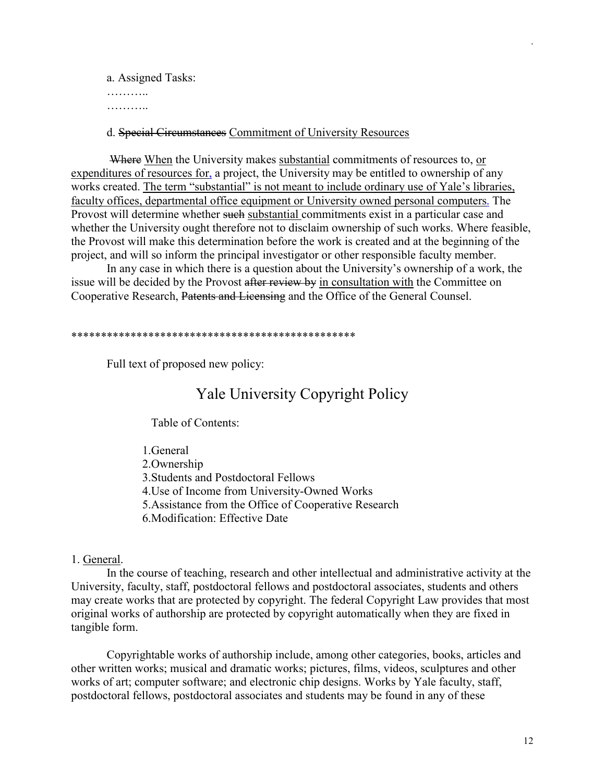a. Assigned Tasks: ………… ………..

## d. Special Circumstances Commitment of University Resources

Where When the University makes substantial commitments of resources to, or expenditures of resources for, a project, the University may be entitled to ownership of any works created. The term "substantial" is not meant to include ordinary use of Yale's libraries, faculty offices, departmental office equipment or University owned personal computers. The Provost will determine whether such substantial commitments exist in a particular case and whether the University ought therefore not to disclaim ownership of such works. Where feasible, the Provost will make this determination before the work is created and at the beginning of the project, and will so inform the principal investigator or other responsible faculty member.

In any case in which there is a question about the University's ownership of a work, the issue will be decided by the Provost after review by in consultation with the Committee on Cooperative Research, Patents and Licensing and the Office of the General Counsel.

#### \*\*\*\*\*\*\*\*\*\*\*\*\*\*\*\*\*\*\*\*\*\*\*\*\*\*\*\*\*\*\*\*\*\*\*\*\*\*\*\*\*\*\*\*\*\*\*\*

Full text of proposed new policy:

# Yale University Copyright Policy

Table of Contents:

- 1.General
- 2.Ownership
- 3.Students and Postdoctoral Fellows
- 4.Use of Income from University-Owned Works
- 5.Assistance from the Office of Cooperative Research
- 6.Modification: Effective Date

## 1. General.

In the course of teaching, research and other intellectual and administrative activity at the University, faculty, staff, postdoctoral fellows and postdoctoral associates, students and others may create works that are protected by copyright. The federal Copyright Law provides that most original works of authorship are protected by copyright automatically when they are fixed in tangible form.

Copyrightable works of authorship include, among other categories, books, articles and other written works; musical and dramatic works; pictures, films, videos, sculptures and other works of art; computer software; and electronic chip designs. Works by Yale faculty, staff, postdoctoral fellows, postdoctoral associates and students may be found in any of these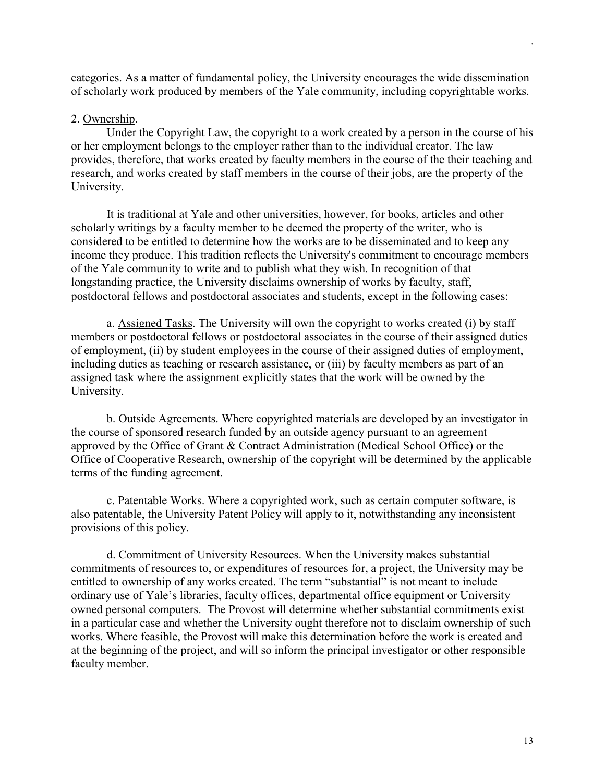categories. As a matter of fundamental policy, the University encourages the wide dissemination of scholarly work produced by members of the Yale community, including copyrightable works.

## 2. Ownership.

Under the Copyright Law, the copyright to a work created by a person in the course of his or her employment belongs to the employer rather than to the individual creator. The law provides, therefore, that works created by faculty members in the course of the their teaching and research, and works created by staff members in the course of their jobs, are the property of the University.

It is traditional at Yale and other universities, however, for books, articles and other scholarly writings by a faculty member to be deemed the property of the writer, who is considered to be entitled to determine how the works are to be disseminated and to keep any income they produce. This tradition reflects the University's commitment to encourage members of the Yale community to write and to publish what they wish. In recognition of that longstanding practice, the University disclaims ownership of works by faculty, staff, postdoctoral fellows and postdoctoral associates and students, except in the following cases:

a. Assigned Tasks. The University will own the copyright to works created (i) by staff members or postdoctoral fellows or postdoctoral associates in the course of their assigned duties of employment, (ii) by student employees in the course of their assigned duties of employment, including duties as teaching or research assistance, or (iii) by faculty members as part of an assigned task where the assignment explicitly states that the work will be owned by the University.

b. Outside Agreements. Where copyrighted materials are developed by an investigator in the course of sponsored research funded by an outside agency pursuant to an agreement approved by the Office of Grant & Contract Administration (Medical School Office) or the Office of Cooperative Research, ownership of the copyright will be determined by the applicable terms of the funding agreement.

c. Patentable Works. Where a copyrighted work, such as certain computer software, is also patentable, the University Patent Policy will apply to it, notwithstanding any inconsistent provisions of this policy.

d. Commitment of University Resources. When the University makes substantial commitments of resources to, or expenditures of resources for, a project, the University may be entitled to ownership of any works created. The term "substantial" is not meant to include ordinary use of Yale's libraries, faculty offices, departmental office equipment or University owned personal computers. The Provost will determine whether substantial commitments exist in a particular case and whether the University ought therefore not to disclaim ownership of such works. Where feasible, the Provost will make this determination before the work is created and at the beginning of the project, and will so inform the principal investigator or other responsible faculty member.